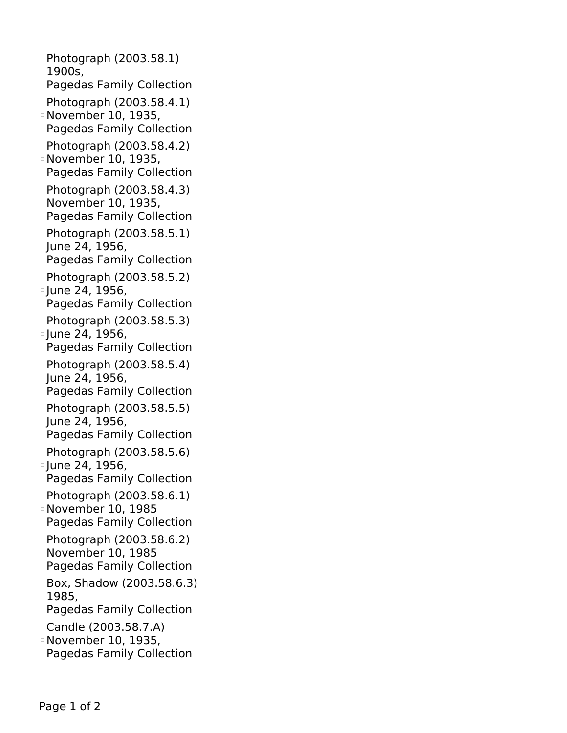Photograph (2003.58.1) 1900s, Pagedas Family Collection Photograph (2003.58.4.1) November 10, 1935, Pagedas Family Collection Photograph (2003.58.4.2) November 10, 1935, Pagedas Family Collection Photograph (2003.58.4.3) November 10, 1935, Pagedas Family Collection Photograph (2003.58.5.1) <sup>o</sup> June 24, 1956, Pagedas Family Collection Photograph (2003.58.5.2)  $\degree$  June 24, 1956, Pagedas Family Collection Photograph (2003.58.5.3)  $\degree$  June 24, 1956, Pagedas Family Collection Photograph (2003.58.5.4)  $\lceil$ une 24, 1956, Pagedas Family Collection Photograph (2003.58.5.5)  $\degree$  June 24, 1956, Pagedas Family Collection Photograph (2003.58.5.6) <sup>o</sup> June 24, 1956, Pagedas Family Collection Photograph (2003.58.6.1) November 10, 1985 Pagedas Family Collection Photograph (2003.58.6.2) November 10, 1985 Pagedas Family Collection Box, Shadow (2003.58.6.3) □ 1985, Pagedas Family Collection Candle (2003.58.7.A) November 10, 1935, Pagedas Family Collection